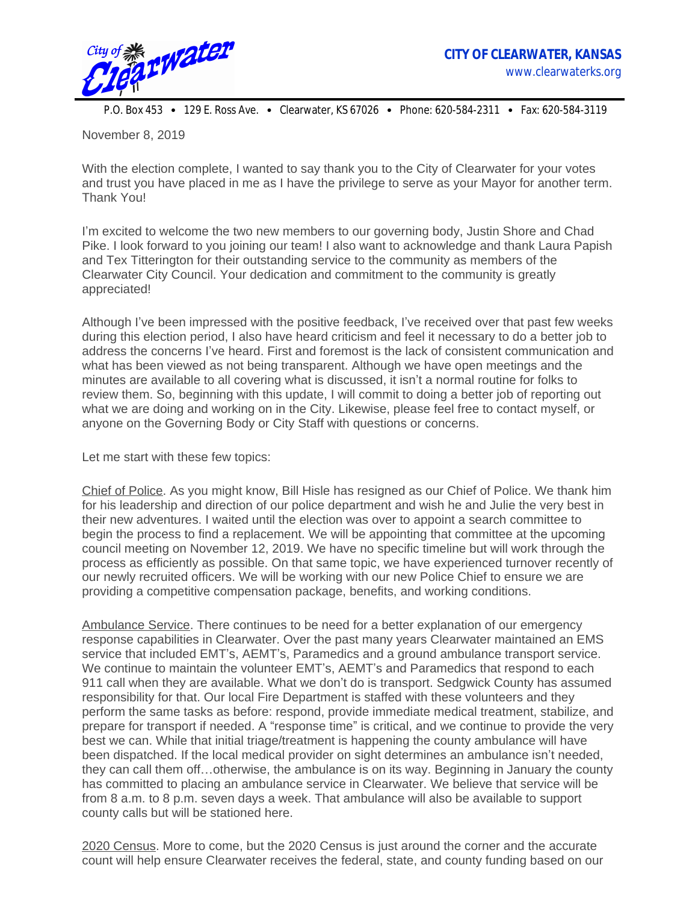

P.O. Box 453 • 129 E. Ross Ave. • Clearwater, KS 67026 • Phone: 620-584-2311 • Fax: 620-584-3119

November 8, 2019

With the election complete, I wanted to say thank you to the City of Clearwater for your votes and trust you have placed in me as I have the privilege to serve as your Mayor for another term. Thank You!

I'm excited to welcome the two new members to our governing body, Justin Shore and Chad Pike. I look forward to you joining our team! I also want to acknowledge and thank Laura Papish and Tex Titterington for their outstanding service to the community as members of the Clearwater City Council. Your dedication and commitment to the community is greatly appreciated!

Although I've been impressed with the positive feedback, I've received over that past few weeks during this election period, I also have heard criticism and feel it necessary to do a better job to address the concerns I've heard. First and foremost is the lack of consistent communication and what has been viewed as not being transparent. Although we have open meetings and the minutes are available to all covering what is discussed, it isn't a normal routine for folks to review them. So, beginning with this update, I will commit to doing a better job of reporting out what we are doing and working on in the City. Likewise, please feel free to contact myself, or anyone on the Governing Body or City Staff with questions or concerns.

Let me start with these few topics:

Chief of Police. As you might know, Bill Hisle has resigned as our Chief of Police. We thank him for his leadership and direction of our police department and wish he and Julie the very best in their new adventures. I waited until the election was over to appoint a search committee to begin the process to find a replacement. We will be appointing that committee at the upcoming council meeting on November 12, 2019. We have no specific timeline but will work through the process as efficiently as possible. On that same topic, we have experienced turnover recently of our newly recruited officers. We will be working with our new Police Chief to ensure we are providing a competitive compensation package, benefits, and working conditions.

Ambulance Service. There continues to be need for a better explanation of our emergency response capabilities in Clearwater. Over the past many years Clearwater maintained an EMS service that included EMT's, AEMT's, Paramedics and a ground ambulance transport service. We continue to maintain the volunteer EMT's, AEMT's and Paramedics that respond to each 911 call when they are available. What we don't do is transport. Sedgwick County has assumed responsibility for that. Our local Fire Department is staffed with these volunteers and they perform the same tasks as before: respond, provide immediate medical treatment, stabilize, and prepare for transport if needed. A "response time" is critical, and we continue to provide the very best we can. While that initial triage/treatment is happening the county ambulance will have been dispatched. If the local medical provider on sight determines an ambulance isn't needed, they can call them off…otherwise, the ambulance is on its way. Beginning in January the county has committed to placing an ambulance service in Clearwater. We believe that service will be from 8 a.m. to 8 p.m. seven days a week. That ambulance will also be available to support county calls but will be stationed here.

2020 Census. More to come, but the 2020 Census is just around the corner and the accurate count will help ensure Clearwater receives the federal, state, and county funding based on our